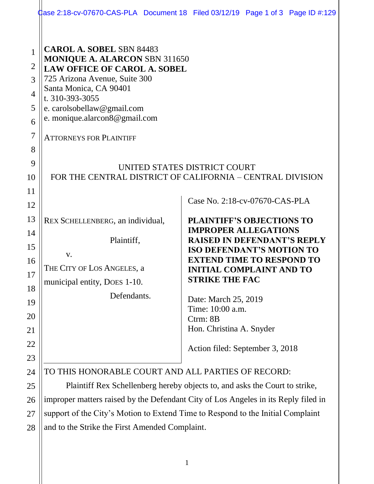|                                                                                      |                                                                                                                                                                                                                                                                                                                                                                                     | <b>Case 2:18-cv-07670-CAS-PLA</b> Document 18 Filed 03/12/19 Page 1 of 3 Page ID #:129                                                                                                                                                                                                                                                                           |
|--------------------------------------------------------------------------------------|-------------------------------------------------------------------------------------------------------------------------------------------------------------------------------------------------------------------------------------------------------------------------------------------------------------------------------------------------------------------------------------|------------------------------------------------------------------------------------------------------------------------------------------------------------------------------------------------------------------------------------------------------------------------------------------------------------------------------------------------------------------|
| $\mathbf{1}$<br>$\overline{2}$<br>3<br>4<br>5<br>6<br>$\overline{7}$<br>8<br>9<br>10 | <b>CAROL A. SOBEL SBN 84483</b><br>MONIQUE A. ALARCON SBN 311650<br><b>LAW OFFICE OF CAROL A. SOBEL</b><br>725 Arizona Avenue, Suite 300<br>Santa Monica, CA 90401<br>t. 310-393-3055<br>e. carolsobellaw@gmail.com<br>e. monique.alarcon8@gmail.com<br><b>ATTORNEYS FOR PLAINTIFF</b><br>UNITED STATES DISTRICT COURT<br>FOR THE CENTRAL DISTRICT OF CALIFORNIA - CENTRAL DIVISION |                                                                                                                                                                                                                                                                                                                                                                  |
| 11                                                                                   |                                                                                                                                                                                                                                                                                                                                                                                     |                                                                                                                                                                                                                                                                                                                                                                  |
| 12                                                                                   |                                                                                                                                                                                                                                                                                                                                                                                     | Case No. 2:18-cv-07670-CAS-PLA                                                                                                                                                                                                                                                                                                                                   |
| 13<br>14<br>15<br>16<br>17<br>18<br>19<br>20<br>21<br>22<br>23                       | REX SCHELLENBERG, an individual,<br>Plaintiff,<br>V.<br>THE CITY OF LOS ANGELES, a<br>municipal entity, DOES 1-10.<br>Defendants.                                                                                                                                                                                                                                                   | <b>PLAINTIFF'S OBJECTIONS TO</b><br><b>IMPROPER ALLEGATIONS</b><br><b>RAISED IN DEFENDANT'S REPLY</b><br><b>ISO DEFENDANT'S MOTION TO</b><br><b>EXTEND TIME TO RESPOND TO</b><br><b>INITIAL COMPLAINT AND TO</b><br><b>STRIKE THE FAC</b><br>Date: March 25, 2019<br>Time: 10:00 a.m.<br>Ctrm: 8B<br>Hon. Christina A. Snyder<br>Action filed: September 3, 2018 |
| 24                                                                                   | TO THIS HONORABLE COURT AND ALL PARTIES OF RECORD:                                                                                                                                                                                                                                                                                                                                  |                                                                                                                                                                                                                                                                                                                                                                  |
| 25                                                                                   | Plaintiff Rex Schellenberg hereby objects to, and asks the Court to strike,                                                                                                                                                                                                                                                                                                         |                                                                                                                                                                                                                                                                                                                                                                  |
| 26                                                                                   | improper matters raised by the Defendant City of Los Angeles in its Reply filed in                                                                                                                                                                                                                                                                                                  |                                                                                                                                                                                                                                                                                                                                                                  |
| 27                                                                                   | support of the City's Motion to Extend Time to Respond to the Initial Complaint                                                                                                                                                                                                                                                                                                     |                                                                                                                                                                                                                                                                                                                                                                  |
| 28                                                                                   | and to the Strike the First Amended Complaint.                                                                                                                                                                                                                                                                                                                                      | 1                                                                                                                                                                                                                                                                                                                                                                |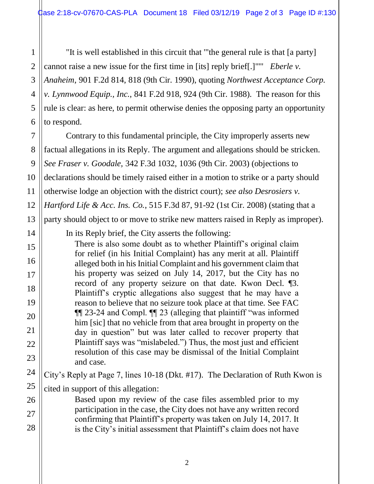"It is well established in this circuit that '"the general rule is that [a party] cannot raise a new issue for the first time in [its] reply brief[.]"'" *[Eberle](https://advance.lexis.com/document/teaserdocument/?pdmfid=1000516&crid=55acf128-8206-46ae-9795-3edbd144c215&pdteaserkey=h1&pditab=allpods&ecomp=3y9Lk&earg=sr0&prid=b23c999d-903f-44a5-831c-57c2c9e19fa8) v. [Anaheim](https://advance.lexis.com/document/teaserdocument/?pdmfid=1000516&crid=55acf128-8206-46ae-9795-3edbd144c215&pdteaserkey=h1&pditab=allpods&ecomp=3y9Lk&earg=sr0&prid=b23c999d-903f-44a5-831c-57c2c9e19fa8)*, 901 F.2d 814, 818 (9th Cir. 1990), quoting *Northwest Acceptance Corp. v. Lynnwood Equip., Inc.*, 841 F.2d 918, 924 (9th Cir. 1988). The reason for this rule is clear: as here, to permit otherwise denies the opposing party an opportunity to respond.

Contrary to this fundamental principle, the City improperly asserts new factual allegations in its Reply. The argument and allegations should be stricken. *See Fraser v. Goodale,* 342 F.3d 1032, 1036 (9th Cir. 2003) (objections to declarations should be timely raised either in a motion to strike or a party should otherwise lodge an objection with the district court); *see also Desrosiers v. Hartford Life & Acc. Ins. Co.*, 515 F.3d 87, 91-92 (1st Cir. 2008) (stating that a party should object to or move to strike new matters raised in Reply as improper).

In its Reply brief, the City asserts the following:

There is also some doubt as to whether Plaintiff's original claim for relief (in his Initial Complaint) has any merit at all. Plaintiff alleged both in his Initial Complaint and his government claim that his property was seized on July 14, 2017, but the City has no record of any property seizure on that date. Kwon Decl. ¶3. Plaintiff's cryptic allegations also suggest that he may have a reason to believe that no seizure took place at that time. See FAC ¶¶ 23-24 and Compl. ¶¶ 23 (alleging that plaintiff "was informed him [sic] that no vehicle from that area brought in property on the day in question" but was later called to recover property that Plaintiff says was "mislabeled.") Thus, the most just and efficient resolution of this case may be dismissal of the Initial Complaint and case.

City's Reply at Page 7, lines 10-18 (Dkt. #17). The Declaration of Ruth Kwon is cited in support of this allegation:

Based upon my review of the case files assembled prior to my participation in the case, the City does not have any written record confirming that Plaintiff's property was taken on July 14, 2017. It is the City's initial assessment that Plaintiff's claim does not have